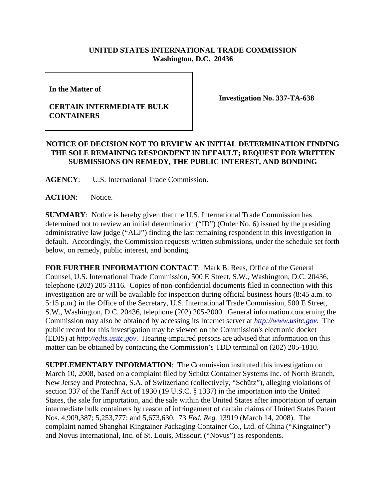## **UNITED STATES INTERNATIONAL TRADE COMMISSION Washington, D.C. 20436**

**In the Matter of** 

## **CERTAIN INTERMEDIATE BULK CONTAINERS**

**Investigation No. 337-TA-638**

## **NOTICE OF DECISION NOT TO REVIEW AN INITIAL DETERMINATION FINDING THE SOLE REMAINING RESPONDENT IN DEFAULT; REQUEST FOR WRITTEN SUBMISSIONS ON REMEDY, THE PUBLIC INTEREST, AND BONDING**

**AGENCY**: U.S. International Trade Commission.

ACTION: Notice.

**SUMMARY**: Notice is hereby given that the U.S. International Trade Commission has determined not to review an initial determination ("ID") (Order No. 6) issued by the presiding administrative law judge ("ALJ") finding the last remaining respondent in this investigation in default. Accordingly, the Commission requests written submissions, under the schedule set forth below, on remedy, public interest, and bonding.

**FOR FURTHER INFORMATION CONTACT**: Mark B. Rees, Office of the General Counsel, U.S. International Trade Commission, 500 E Street, S.W., Washington, D.C. 20436, telephone (202) 205-3116. Copies of non-confidential documents filed in connection with this investigation are or will be available for inspection during official business hours (8:45 a.m. to 5:15 p.m.) in the Office of the Secretary, U.S. International Trade Commission, 500 E Street, S.W., Washington, D.C. 20436, telephone (202) 205-2000. General information concerning the Commission may also be obtained by accessing its Internet server at *http://www.usitc.gov*. The public record for this investigation may be viewed on the Commission's electronic docket (EDIS) at *http://edis.usitc.gov*. Hearing-impaired persons are advised that information on this matter can be obtained by contacting the Commission's TDD terminal on (202) 205-1810.

**SUPPLEMENTARY INFORMATION:** The Commission instituted this investigation on March 10, 2008, based on a complaint filed by Schütz Container Systems Inc. of North Branch, New Jersey and Protechna, S.A. of Switzerland (collectively, "Schütz"), alleging violations of section 337 of the Tariff Act of 1930 (19 U.S.C. § 1337) in the importation into the United States, the sale for importation, and the sale within the United States after importation of certain intermediate bulk containers by reason of infringement of certain claims of United States Patent Nos. 4,909,387; 5,253,777; and 5,673,630. 73 *Fed. Reg.* 13919 (March 14, 2008). The complaint named Shanghai Kingtainer Packaging Container Co., Ltd. of China ("Kingtainer") and Novus International, Inc. of St. Louis, Missouri ("Novus") as respondents.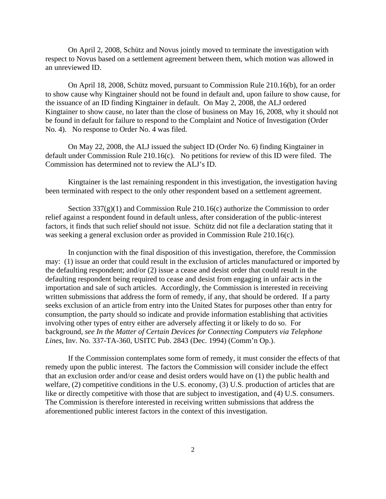On April 2, 2008, Schütz and Novus jointly moved to terminate the investigation with respect to Novus based on a settlement agreement between them, which motion was allowed in an unreviewed ID.

On April 18, 2008, Schütz moved, pursuant to Commission Rule 210.16(b), for an order to show cause why Kingtainer should not be found in default and, upon failure to show cause, for the issuance of an ID finding Kingtainer in default. On May 2, 2008, the ALJ ordered Kingtainer to show cause, no later than the close of business on May 16, 2008, why it should not be found in default for failure to respond to the Complaint and Notice of Investigation (Order No. 4). No response to Order No. 4 was filed.

On May 22, 2008, the ALJ issued the subject ID (Order No. 6) finding Kingtainer in default under Commission Rule 210.16(c). No petitions for review of this ID were filed. The Commission has determined not to review the ALJ's ID.

Kingtainer is the last remaining respondent in this investigation, the investigation having been terminated with respect to the only other respondent based on a settlement agreement.

Section  $337(g)(1)$  and Commission Rule 210.16(c) authorize the Commission to order relief against a respondent found in default unless, after consideration of the public-interest factors, it finds that such relief should not issue. Schütz did not file a declaration stating that it was seeking a general exclusion order as provided in Commission Rule 210.16(c).

In conjunction with the final disposition of this investigation, therefore, the Commission may: (1) issue an order that could result in the exclusion of articles manufactured or imported by the defaulting respondent; and/or (2) issue a cease and desist order that could result in the defaulting respondent being required to cease and desist from engaging in unfair acts in the importation and sale of such articles. Accordingly, the Commission is interested in receiving written submissions that address the form of remedy, if any, that should be ordered. If a party seeks exclusion of an article from entry into the United States for purposes other than entry for consumption, the party should so indicate and provide information establishing that activities involving other types of entry either are adversely affecting it or likely to do so. For background, *see In the Matter of Certain Devices for Connecting Computers via Telephone Lines*, Inv. No. 337-TA-360, USITC Pub. 2843 (Dec. 1994) (Comm'n Op.).

If the Commission contemplates some form of remedy, it must consider the effects of that remedy upon the public interest. The factors the Commission will consider include the effect that an exclusion order and/or cease and desist orders would have on (1) the public health and welfare, (2) competitive conditions in the U.S. economy, (3) U.S. production of articles that are like or directly competitive with those that are subject to investigation, and (4) U.S. consumers. The Commission is therefore interested in receiving written submissions that address the aforementioned public interest factors in the context of this investigation.